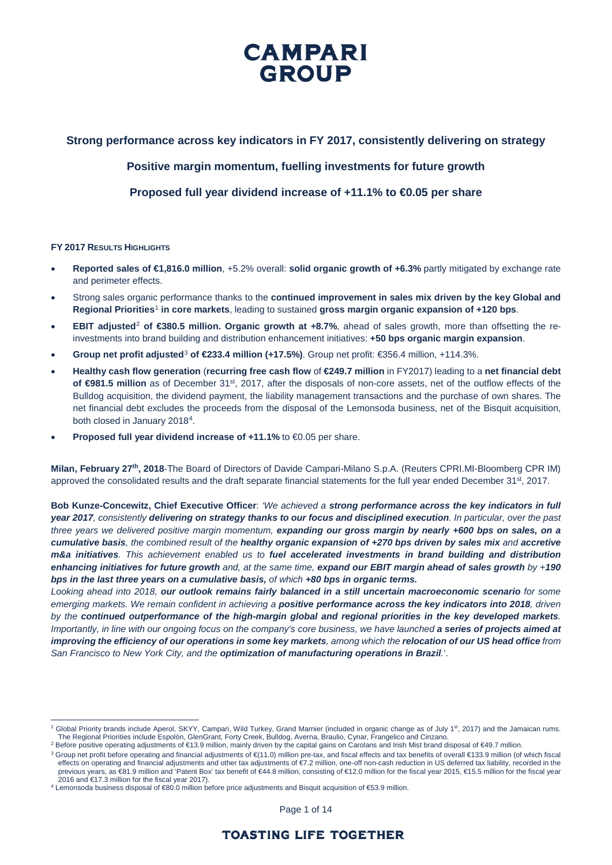## **Strong performance across key indicators in FY 2017, consistently delivering on strategy**

**Positive margin momentum, fuelling investments for future growth**

**Proposed full year dividend increase of +11.1% to €0.05 per share**

#### **FY 2017 RESULTS HIGHLIGHTS**

- **Reported sales of €1,816.0 million**, +5.2% overall: **solid organic growth of +6.3%** partly mitigated by exchange rate and perimeter effects.
- Strong sales organic performance thanks to the **continued improvement in sales mix driven by the key Global and Regional Priorities**[1](#page-0-0) **in core markets**, leading to sustained **gross margin organic expansion of +120 bps**.
- **EBIT adjusted**[2](#page-0-1) **of €380.5 million. Organic growth at +8.7%**, ahead of sales growth, more than offsetting the reinvestments into brand building and distribution enhancement initiatives: **+50 bps organic margin expansion**.
- **Group net profit adjusted**[3](#page-0-2) **of €233.4 million (+17.5%)**. Group net profit: €356.4 million, +114.3%.
- **Healthy cash flow generation** (**recurring free cash flow** of **€249.7 million** in FY2017) leading to a **net financial debt**  of **€981.5 million** as of December 31<sup>st</sup>, 2017, after the disposals of non-core assets, net of the outflow effects of the Bulldog acquisition, the dividend payment, the liability management transactions and the purchase of own shares. The net financial debt excludes the proceeds from the disposal of the Lemonsoda business, net of the Bisquit acquisition, both closed in January 2018[4](#page-0-3).
- **Proposed full year dividend increase of +11.1%** to €0.05 per share.

**Milan, February 27th, 2018**-The Board of Directors of Davide Campari-Milano S.p.A. (Reuters CPRI.MI-Bloomberg CPR IM) approved the consolidated results and the draft separate financial statements for the full year ended December  $31^{st}$ , 2017.

**Bob Kunze-Concewitz, Chief Executive Officer**: *'We achieved a strong performance across the key indicators in full year 2017, consistently delivering on strategy thanks to our focus and disciplined execution. In particular, over the past three years we delivered positive margin momentum, expanding our gross margin by nearly +600 bps on sales, on a cumulative basis, the combined result of the healthy organic expansion of +270 bps driven by sales mix and accretive m&a initiatives. This achievement enabled us to fuel accelerated investments in brand building and distribution enhancing initiatives for future growth and, at the same time, expand our EBIT margin ahead of sales growth by +190 bps in the last three years on a cumulative basis, of which +80 bps in organic terms.*

*Looking ahead into 2018, our outlook remains fairly balanced in a still uncertain macroeconomic scenario for some emerging markets. We remain confident in achieving a positive performance across the key indicators into 2018, driven by the continued outperformance of the high-margin global and regional priorities in the key developed markets. Importantly, in line with our ongoing focus on the company's core business, we have launched a series of projects aimed at improving the efficiency of our operations in some key markets, among which the relocation of our US head office from San Francisco to New York City, and the optimization of manufacturing operations in Brazil.*'.

Page 1 of 14

<span id="page-0-0"></span><sup>&</sup>lt;sup>1</sup> Global Priority brands include Aperol, SKYY, Campari, Wild Turkey, Grand Marnier (included in organic change as of July 1<sup>st</sup>, 2017) and the Jamaican rums. The Regional Priorities include Espolòn, GlenGrant, Forty Creek, Bulldog, Averna, Braulio, Cynar, Frangelico and Cinzano.

<span id="page-0-1"></span><sup>&</sup>lt;sup>2</sup> Before positive operating adjustments of €13.9 million, mainly driven by the capital gains on Carolans and Irish Mist brand disposal of €49.7 million.<br><sup>3</sup> Group net profit before operating and financial adjustments of

<span id="page-0-2"></span>effects on operating and financial adjustments and other tax adjustments of €7.2 million, one-off non-cash reduction in US deferred tax liability, recorded in the previous years, as €81.9 million and 'Patent Box' tax benefit of €44.8 million, consisting of €12.0 million for the fiscal year 2015, €15.5 million for the fiscal year

<span id="page-0-3"></span><sup>2016</sup> and €17.3 million for the fiscal year 2017). <sup>4</sup> Lemonsoda business disposal of €80.0 million before price adjustments and Bisquit acquisition of €53.9 million.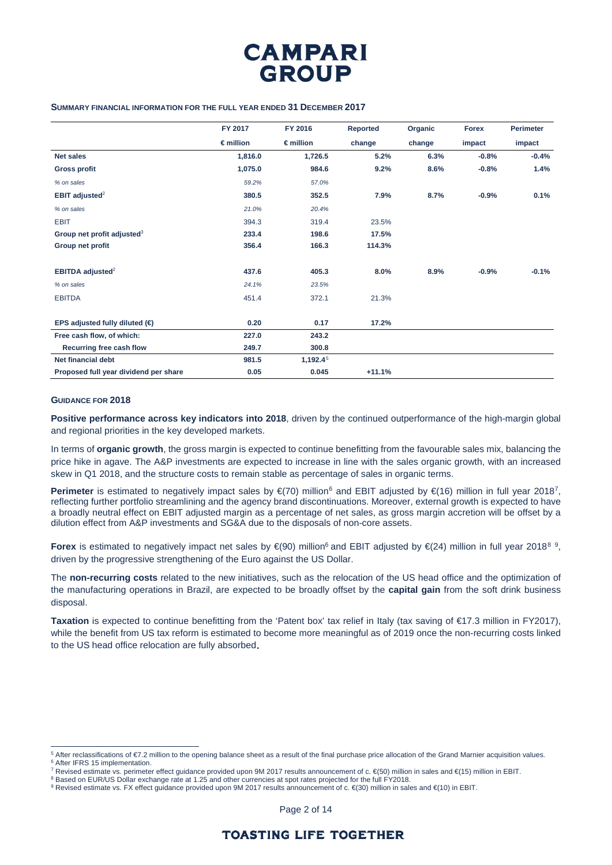

#### **SUMMARY FINANCIAL INFORMATION FOR THE FULL YEAR ENDED 31 DECEMBER 2017**

|                                         | FY 2017            | FY 2016            | Reported | Organic | <b>Forex</b> | <b>Perimeter</b> |
|-----------------------------------------|--------------------|--------------------|----------|---------|--------------|------------------|
|                                         | $\epsilon$ million | $\epsilon$ million | change   | change  | impact       | impact           |
| <b>Net sales</b>                        | 1,816.0            | 1,726.5            | 5.2%     | 6.3%    | $-0.8%$      | $-0.4%$          |
| <b>Gross profit</b>                     | 1,075.0            | 984.6              | 9.2%     | 8.6%    | $-0.8%$      | 1.4%             |
| % on sales                              | 59.2%              | 57.0%              |          |         |              |                  |
| EBIT adjusted $2$                       | 380.5              | 352.5              | 7.9%     | 8.7%    | $-0.9%$      | 0.1%             |
| % on sales                              | 21.0%              | 20.4%              |          |         |              |                  |
| <b>EBIT</b>                             | 394.3              | 319.4              | 23.5%    |         |              |                  |
| Group net profit adjusted <sup>3</sup>  | 233.4              | 198.6              | 17.5%    |         |              |                  |
| Group net profit                        | 356.4              | 166.3              | 114.3%   |         |              |                  |
| EBITDA adjusted <sup>2</sup>            | 437.6              | 405.3              | 8.0%     | 8.9%    | $-0.9%$      | $-0.1%$          |
| % on sales                              | 24.1%              | 23.5%              |          |         |              |                  |
| <b>EBITDA</b>                           | 451.4              | 372.1              | 21.3%    |         |              |                  |
| EPS adjusted fully diluted $(\bigoplus$ | 0.20               | 0.17               | 17.2%    |         |              |                  |
| Free cash flow, of which:               | 227.0              | 243.2              |          |         |              |                  |
| Recurring free cash flow                | 249.7              | 300.8              |          |         |              |                  |
| <b>Net financial debt</b>               | 981.5              | 1,192.45           |          |         |              |                  |
| Proposed full year dividend per share   | 0.05               | 0.045              | $+11.1%$ |         |              |                  |

#### **GUIDANCE FOR 2018**

**Positive performance across key indicators into 2018**, driven by the continued outperformance of the high-margin global and regional priorities in the key developed markets.

In terms of **organic growth**, the gross margin is expected to continue benefitting from the favourable sales mix, balancing the price hike in agave. The A&P investments are expected to increase in line with the sales organic growth, with an increased skew in Q1 2018, and the structure costs to remain stable as percentage of sales in organic terms.

Perimeter is estimated to negatively impact sales by €(70) million<sup>[6](#page-1-1)</sup> and EBIT adjusted by €(16) million in full year 2018<sup>[7](#page-1-2)</sup>, reflecting further portfolio streamlining and the agency brand discontinuations. Moreover, external growth is expected to have a broadly neutral effect on EBIT adjusted margin as a percentage of net sales, as gross margin accretion will be offset by a dilution effect from A&P investments and SG&A due to the disposals of non-core assets.

**Forex** is estimated to negatively impact net sales by €(90) million<sup>6</sup> and EBIT adjusted by €(24) million in full year 201[8](#page-1-3)<sup>8 [9](#page-1-4)</sup>, driven by the progressive strengthening of the Euro against the US Dollar.

The **non-recurring costs** related to the new initiatives, such as the relocation of the US head office and the optimization of the manufacturing operations in Brazil, are expected to be broadly offset by the **capital gain** from the soft drink business disposal.

**Taxation** is expected to continue benefitting from the 'Patent box' tax relief in Italy (tax saving of €17.3 million in FY2017), while the benefit from US tax reform is estimated to become more meaningful as of 2019 once the non-recurring costs linked to the US head office relocation are fully absorbed.

Page 2 of 14

<span id="page-1-0"></span> <sup>5</sup> After reclassifications of €7.2 million to the opening balance sheet as a result of the final purchase price allocation of the Grand Marnier acquisition values. <sup>6</sup> After IFRS 15 implementation.

<span id="page-1-1"></span><sup>7</sup> Revised estimate vs. perimeter effect guidance provided upon 9M 2017 results announcement of c. €(50) million in sales and €(15) million in EBIT.

<span id="page-1-3"></span><span id="page-1-2"></span> $^8$  Based on EUR/US Dollar exchange rate at 1.25 and other currencies at spot rates projected for the full FY2018.

<span id="page-1-4"></span><sup>&</sup>lt;sup>9</sup> Revised estimate vs. FX effect guidance provided upon 9M 2017 results announcement of c. €(30) million in sales and €(10) in EBIT.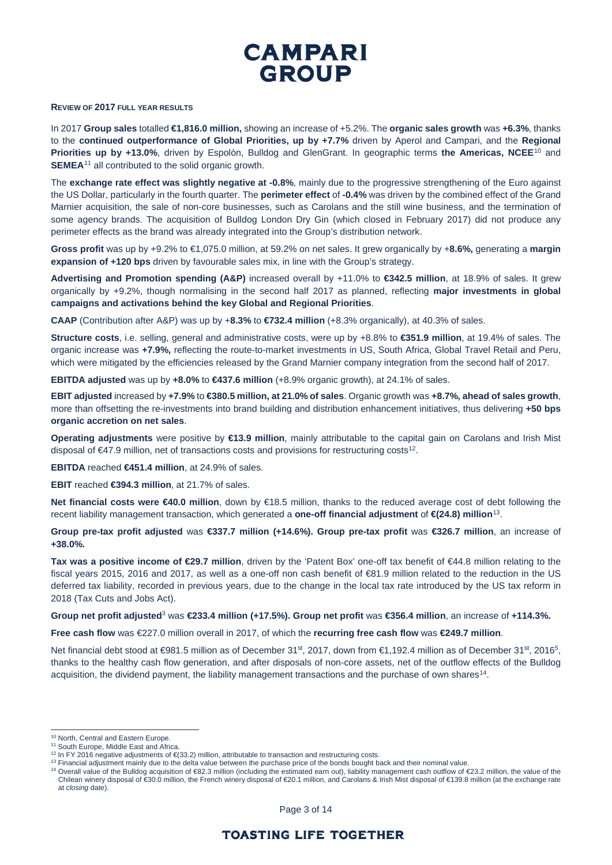

### **REVIEW OF 2017 FULL YEAR RESULTS**

In 2017 **Group sales** totalled **€1,816.0 million,** showing an increase of +5.2%. The **organic sales growth** was **+6.3%**, thanks to the **continued outperformance of Global Priorities, up by +7.7%** driven by Aperol and Campari, and the **Regional Priorities up by +13.0%**, driven by Espolòn, Bulldog and GlenGrant. In geographic terms **the Americas, NCEE**[10](#page-2-0) and **SEMEA**<sup>[11](#page-2-1)</sup> all contributed to the solid organic growth.

The **exchange rate effect was slightly negative at -0.8%**, mainly due to the progressive strengthening of the Euro against the US Dollar, particularly in the fourth quarter. The **perimeter effect** of **-0.4%** was driven by the combined effect of the Grand Marnier acquisition, the sale of non-core businesses, such as Carolans and the still wine business, and the termination of some agency brands. The acquisition of Bulldog London Dry Gin (which closed in February 2017) did not produce any perimeter effects as the brand was already integrated into the Group's distribution network.

**Gross profit** was up by +9.2% to €1,075.0 million, at 59.2% on net sales. It grew organically by +**8.6%,** generating a **margin expansion of +120 bps** driven by favourable sales mix, in line with the Group's strategy.

**Advertising and Promotion spending (A&P)** increased overall by +11.0% to **€342.5 million**, at 18.9% of sales. It grew organically by +9.2%, though normalising in the second half 2017 as planned, reflecting **major investments in global campaigns and activations behind the key Global and Regional Priorities**.

**CAAP** (Contribution after A&P) was up by +**8.3%** to **€732.4 million** (+8.3% organically), at 40.3% of sales.

**Structure costs**, i.e. selling, general and administrative costs, were up by +8.8% to **€351.9 million**, at 19.4% of sales. The organic increase was **+7.9%,** reflecting the route-to-market investments in US, South Africa, Global Travel Retail and Peru, which were mitigated by the efficiencies released by the Grand Marnier company integration from the second half of 2017.

**EBITDA adjusted** was up by **+8.0%** to **€437.6 million** (+8.9% organic growth), at 24.1% of sales.

**EBIT adjusted** increased by **+7.9%** to **€380.5 million, at 21.0% of sales**. Organic growth was **+8.7%, ahead of sales growth**, more than offsetting the re-investments into brand building and distribution enhancement initiatives, thus delivering **+50 bps organic accretion on net sales**.

**Operating adjustments** were positive by **€13.9 million**, mainly attributable to the capital gain on Carolans and Irish Mist disposal of  $\epsilon$ 47.9 million, net of transactions costs and provisions for restructuring costs<sup>12</sup>.

**EBITDA** reached **€451.4 million**, at 24.9% of sales.

**EBIT** reached **€394.3 million**, at 21.7% of sales.

**Net financial costs were €40.0 million**, down by €18.5 million, thanks to the reduced average cost of debt following the recent liability management transaction, which generated a **one-off financial adjustment** of **€(24.8) million**[13](#page-2-3).

**Group pre-tax profit adjusted** was **€337.7 million (+14.6%). Group pre-tax profit** was **€326.7 million**, an increase of **+38.0%.**

**Tax was a positive income of €29.7 million**, driven by the 'Patent Box' one-off tax benefit of €44.8 million relating to the fiscal years 2015, 2016 and 2017, as well as a one-off non cash benefit of €81.9 million related to the reduction in the US deferred tax liability, recorded in previous years, due to the change in the local tax rate introduced by the US tax reform in 2018 (Tax Cuts and Jobs Act).

#### **Group net profit adjusted**<sup>3</sup> was **€233.4 million (+17.5%). Group net profit** was **€356.4 million**, an increase of **+114.3%.**

**Free cash flow** was €227.0 million overall in 2017, of which the **recurring free cash flow** was **€249.7 million**.

Net financial debt stood at €981.5 million as of December 31<sup>st</sup>, 2017, down from €1,192.4 million as of December 31<sup>st</sup>, 2016<sup>5</sup>, thanks to the healthy cash flow generation, and after disposals of non-core assets, net of the outflow effects of the Bulldog acquisition, the dividend payment, the liability management transactions and the purchase of own shares<sup>14</sup>.

<span id="page-2-0"></span> <sup>10</sup> North, Central and Eastern Europe.

<span id="page-2-1"></span><sup>&</sup>lt;sup>11</sup> South Europe, Middle East and Africa.<br><sup>12</sup> In FY 2016 negative adjustments of  $\infty$ (33.2) million, attributable to transaction and restructuring costs.

<span id="page-2-3"></span><span id="page-2-2"></span><sup>&</sup>lt;sup>13</sup> Financial adjustment mainly due to the delta value between the purchase price of the bonds bought back and their nominal value.

<span id="page-2-4"></span><sup>14</sup> Overall value of the Bulldog acquisition of €82.3 million (including the estimated earn out), liability management cash outflow of €23.2 million, the value of the Chilean winery disposal of €30.0 million, the French winery disposal of €20.1 million, and Carolans & Irish Mist disposal of €139.8 million (at the exchange rate at *closing* date).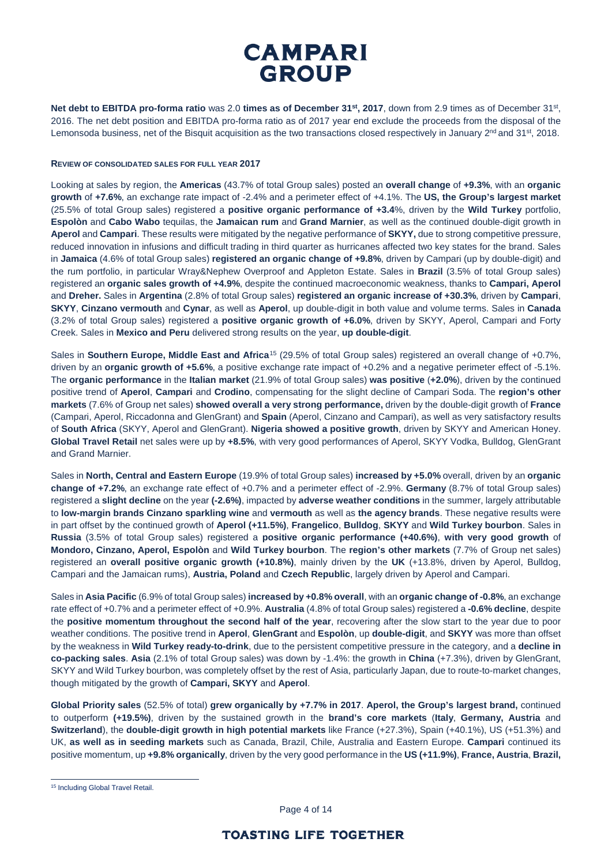**Net debt to EBITDA pro-forma ratio** was 2.0 **times as of December 31st, 2017**, down from 2.9 times as of December 31st, 2016. The net debt position and EBITDA pro-forma ratio as of 2017 year end exclude the proceeds from the disposal of the Lemonsoda business, net of the Bisquit acquisition as the two transactions closed respectively in January  $2^{nd}$  and  $31^{st}$ , 2018.

#### **REVIEW OF CONSOLIDATED SALES FOR FULL YEAR 2017**

Looking at sales by region, the **Americas** (43.7% of total Group sales) posted an **overall change** of **+9.3%**, with an **organic growth** of **+7.6%**, an exchange rate impact of -2.4% and a perimeter effect of +4.1%. The **US, the Group's largest market** (25.5% of total Group sales) registered a **positive organic performance of +3.4**%, driven by the **Wild Turkey** portfolio, **Espolòn** and **Cabo Wabo** tequilas, the **Jamaican rum** and **Grand Marnier**, as well as the continued double-digit growth in **Aperol** and **Campari**. These results were mitigated by the negative performance of **SKYY,** due to strong competitive pressure, reduced innovation in infusions and difficult trading in third quarter as hurricanes affected two key states for the brand. Sales in **Jamaica** (4.6% of total Group sales) **registered an organic change of +9.8%**, driven by Campari (up by double-digit) and the rum portfolio, in particular Wray&Nephew Overproof and Appleton Estate. Sales in **Brazil** (3.5% of total Group sales) registered an **organic sales growth of +4.9%**, despite the continued macroeconomic weakness, thanks to **Campari, Aperol**  and **Dreher.** Sales in **Argentina** (2.8% of total Group sales) **registered an organic increase of +30.3%**, driven by **Campari**, **SKYY**, **Cinzano vermouth** and **Cynar**, as well as **Aperol**, up double-digit in both value and volume terms. Sales in **Canada**  (3.2% of total Group sales) registered a **positive organic growth of +6.0%**, driven by SKYY, Aperol, Campari and Forty Creek. Sales in **Mexico and Peru** delivered strong results on the year, **up double-digit**.

Sales in **Southern Europe, Middle East and Africa**[15](#page-3-0) (29.5% of total Group sales) registered an overall change of +0.7%, driven by an **organic growth of +5.6%**, a positive exchange rate impact of +0.2% and a negative perimeter effect of -5.1%. The **organic performance** in the **Italian market** (21.9% of total Group sales) **was positive** (**+2.0%**), driven by the continued positive trend of **Aperol**, **Campari** and **Crodino**, compensating for the slight decline of Campari Soda. The **region's other markets** (7.6% of Group net sales) **showed overall a very strong performance,** driven by the double-digit growth of **France**  (Campari, Aperol, Riccadonna and GlenGrant) and **Spain** (Aperol, Cinzano and Campari), as well as very satisfactory results of **South Africa** (SKYY, Aperol and GlenGrant). **Nigeria showed a positive growth**, driven by SKYY and American Honey. **Global Travel Retail** net sales were up by **+8.5%**, with very good performances of Aperol, SKYY Vodka, Bulldog, GlenGrant and Grand Marnier.

Sales in **North, Central and Eastern Europe** (19.9% of total Group sales) **increased by +5.0%** overall, driven by an **organic change of +7.2%**, an exchange rate effect of +0.7% and a perimeter effect of -2.9%. **Germany** (8.7% of total Group sales) registered a **slight decline** on the year **(-2.6%)**, impacted by **adverse weather conditions** in the summer, largely attributable to **low-margin brands Cinzano sparkling wine** and **vermouth** as well as **the agency brands**. These negative results were in part offset by the continued growth of **Aperol (+11.5%)**, **Frangelico**, **Bulldog**, **SKYY** and **Wild Turkey bourbon**. Sales in **Russia** (3.5% of total Group sales) registered a **positive organic performance (+40.6%)**, **with very good growth** of **Mondoro, Cinzano, Aperol, Espolòn** and **Wild Turkey bourbon**. The **region's other markets** (7.7% of Group net sales) registered an **overall positive organic growth (+10.8%)**, mainly driven by the **UK** (+13.8%, driven by Aperol, Bulldog, Campari and the Jamaican rums), **Austria, Poland** and **Czech Republic**, largely driven by Aperol and Campari.

Sales in **Asia Pacific** (6.9% of total Group sales) **increased by +0.8% overall**, with an **organic change of -0.8%**, an exchange rate effect of +0.7% and a perimeter effect of +0.9%. **Australia** (4.8% of total Group sales) registered a **-0.6% decline**, despite the **positive momentum throughout the second half of the year**, recovering after the slow start to the year due to poor weather conditions. The positive trend in **Aperol**, **GlenGrant** and **Espolòn**, up **double-digit**, and **SKYY** was more than offset by the weakness in **Wild Turkey ready-to-drink**, due to the persistent competitive pressure in the category, and a **decline in co-packing sales**. **Asia** (2.1% of total Group sales) was down by -1.4%: the growth in **China** (+7.3%), driven by GlenGrant, SKYY and Wild Turkey bourbon, was completely offset by the rest of Asia, particularly Japan, due to route-to-market changes, though mitigated by the growth of **Campari, SKYY** and **Aperol**.

**Global Priority sales** (52.5% of total) **grew organically by +7.7% in 2017**. **Aperol, the Group's largest brand,** continued to outperform **(+19.5%)**, driven by the sustained growth in the **brand's core markets** (**Italy**, **Germany, Austria** and **Switzerland**), the **double-digit growth in high potential markets** like France (+27.3%), Spain (+40.1%), US (+51.3%) and UK, **as well as in seeding markets** such as Canada, Brazil, Chile, Australia and Eastern Europe. **Campari** continued its positive momentum, up **+9.8% organically**, driven by the very good performance in the **US (+11.9%)**, **France, Austria**, **Brazil,** 

Page 4 of 14

<span id="page-3-0"></span><sup>&</sup>lt;sup>15</sup> Including Global Travel Retail.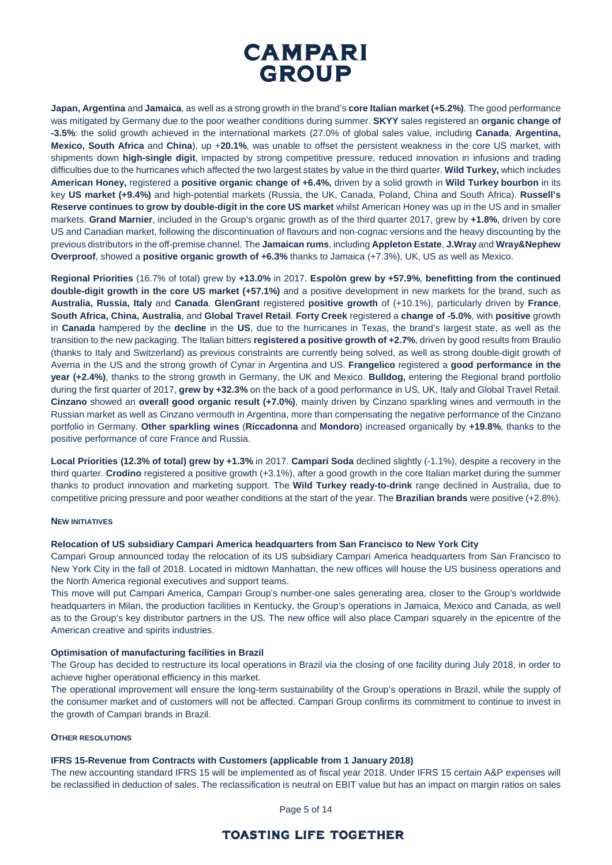

**Japan, Argentina** and **Jamaica**, as well as a strong growth in the brand's **core Italian market (+5.2%)**. The good performance was mitigated by Germany due to the poor weather conditions during summer. **SKYY** sales registered an **organic change of -3.5%**: the solid growth achieved in the international markets (27.0% of global sales value, including **Canada**, **Argentina, Mexico, South Africa** and **China**), up +**20.1%**, was unable to offset the persistent weakness in the core US market, with shipments down **high-single digit**, impacted by strong competitive pressure, reduced innovation in infusions and trading difficulties due to the hurricanes which affected the two largest states by value in the third quarter. **Wild Turkey,** which includes **American Honey,** registered a **positive organic change of +6.4%,** driven by a solid growth in **Wild Turkey bourbon** in its key **US market (+9.4%)** and high-potential markets (Russia, the UK, Canada, Poland, China and South Africa). **Russell's Reserve continues to grow by double-digit in the core US market** whilst American Honey was up in the US and in smaller markets. **Grand Marnier**, included in the Group's organic growth as of the third quarter 2017, grew by **+1.8%**, driven by core US and Canadian market, following the discontinuation of flavours and non-cognac versions and the heavy discounting by the previous distributors in the off-premise channel. The **Jamaican rums**, including **Appleton Estate**, **J.Wray** and **Wray&Nephew Overproof**, showed a **positive organic growth of +6.3%** thanks to Jamaica (+7.3%), UK, US as well as Mexico.

**Regional Priorities** (16.7% of total) grew by **+13.0%** in 2017. **Espolòn grew by +57.9%**, **benefitting from the continued double-digit growth in the core US market (+57.1%)** and a positive development in new markets for the brand, such as **Australia, Russia, Italy** and **Canada**. **GlenGrant** registered **positive growth** of (+10.1%), particularly driven by **France**, **South Africa, China, Australia**, and **Global Travel Retail**. **Forty Creek** registered a **change of -5.0%**, with **positive** growth in **Canada** hampered by the **decline** in the **US**, due to the hurricanes in Texas, the brand's largest state, as well as the transition to the new packaging. The Italian bitters **registered a positive growth of +2.7%**, driven by good results from Braulio (thanks to Italy and Switzerland) as previous constraints are currently being solved, as well as strong double-digit growth of Averna in the US and the strong growth of Cynar in Argentina and US. **Frangelico** registered a **good performance in the year (+2.4%)**, thanks to the strong growth in Germany, the UK and Mexico. **Bulldog,** entering the Regional brand portfolio during the first quarter of 2017, **grew by +32.3%** on the back of a good performance in US, UK, Italy and Global Travel Retail. **Cinzano** showed an **overall good organic result (+7.0%)**, mainly driven by Cinzano sparkling wines and vermouth in the Russian market as well as Cinzano vermouth in Argentina, more than compensating the negative performance of the Cinzano portfolio in Germany. **Other sparkling wines** (**Riccadonna** and **Mondoro**) increased organically by **+19.8%**, thanks to the positive performance of core France and Russia.

**Local Priorities (12.3% of total) grew by +1.3%** in 2017. **Campari Soda** declined slightly (-1.1%), despite a recovery in the third quarter. **Crodino** registered a positive growth (+3.1%), after a good growth in the core Italian market during the summer thanks to product innovation and marketing support. The **Wild Turkey ready-to-drink** range declined in Australia, due to competitive pricing pressure and poor weather conditions at the start of the year. The **Brazilian brands** were positive (+2.8%).

#### **NEW INITIATIVES**

#### **Relocation of US subsidiary Campari America headquarters from San Francisco to New York City**

Campari Group announced today the relocation of its US subsidiary Campari America headquarters from San Francisco to New York City in the fall of 2018. Located in midtown Manhattan, the new offices will house the US business operations and the North America regional executives and support teams.

This move will put Campari America, Campari Group's number-one sales generating area, closer to the Group's worldwide headquarters in Milan, the production facilities in Kentucky, the Group's operations in Jamaica, Mexico and Canada, as well as to the Group's key distributor partners in the US. The new office will also place Campari squarely in the epicentre of the American creative and spirits industries.

#### **Optimisation of manufacturing facilities in Brazil**

The Group has decided to restructure its local operations in Brazil via the closing of one facility during July 2018, in order to achieve higher operational efficiency in this market.

The operational improvement will ensure the long-term sustainability of the Group's operations in Brazil, while the supply of the consumer market and of customers will not be affected. Campari Group confirms its commitment to continue to invest in the growth of Campari brands in Brazil.

#### **OTHER RESOLUTIONS**

#### **IFRS 15-Revenue from Contracts with Customers (applicable from 1 January 2018)**

The new accounting standard IFRS 15 will be implemented as of fiscal year 2018. Under IFRS 15 certain A&P expenses will be reclassified in deduction of sales. The reclassification is neutral on EBIT value but has an impact on margin ratios on sales

Page 5 of 14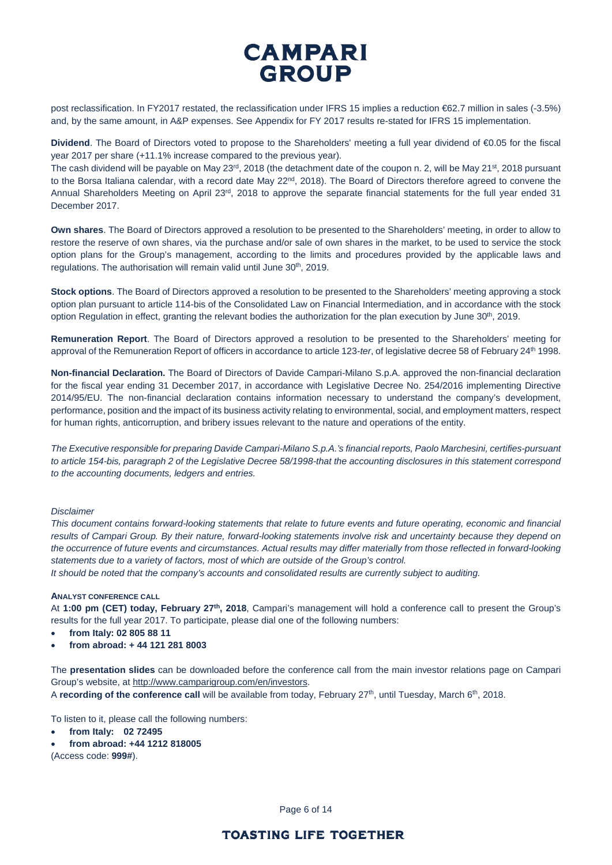post reclassification. In FY2017 restated, the reclassification under IFRS 15 implies a reduction €62.7 million in sales (-3.5%) and, by the same amount, in A&P expenses. See Appendix for FY 2017 results re-stated for IFRS 15 implementation.

**Dividend**. The Board of Directors voted to propose to the Shareholders' meeting a full year dividend of €0.05 for the fiscal year 2017 per share (+11.1% increase compared to the previous year).

The cash dividend will be payable on May 23<sup>rd</sup>, 2018 (the detachment date of the coupon n. 2, will be May 21<sup>st</sup>, 2018 pursuant to the Borsa Italiana calendar, with a record date May  $22^{nd}$ ,  $2018$ ). The Board of Directors therefore agreed to convene the Annual Shareholders Meeting on April 23<sup>rd</sup>, 2018 to approve the separate financial statements for the full year ended 31 December 2017.

**Own shares**. The Board of Directors approved a resolution to be presented to the Shareholders' meeting, in order to allow to restore the reserve of own shares, via the purchase and/or sale of own shares in the market, to be used to service the stock option plans for the Group's management, according to the limits and procedures provided by the applicable laws and regulations. The authorisation will remain valid until June 30<sup>th</sup>, 2019.

**Stock options**. The Board of Directors approved a resolution to be presented to the Shareholders' meeting approving a stock option plan pursuant to article 114-bis of the Consolidated Law on Financial Intermediation, and in accordance with the stock option Regulation in effect, granting the relevant bodies the authorization for the plan execution by June  $30<sup>th</sup>$ , 2019.

**Remuneration Report**. The Board of Directors approved a resolution to be presented to the Shareholders' meeting for approval of the Remuneration Report of officers in accordance to article 123-ter, of legislative decree 58 of February 24<sup>th</sup> 1998.

**Non-financial Declaration.** The Board of Directors of Davide Campari-Milano S.p.A. approved the non-financial declaration for the fiscal year ending 31 December 2017, in accordance with Legislative Decree No. 254/2016 implementing Directive 2014/95/EU. The non-financial declaration contains information necessary to understand the company's development, performance, position and the impact of its business activity relating to environmental, social, and employment matters, respect for human rights, anticorruption, and bribery issues relevant to the nature and operations of the entity.

*The Executive responsible for preparing Davide Campari-Milano S.p.A.'s financial reports, Paolo Marchesini, certifies-pursuant to article 154-bis, paragraph 2 of the Legislative Decree 58/1998-that the accounting disclosures in this statement correspond to the accounting documents, ledgers and entries.* 

#### *Disclaimer*

*This document contains forward-looking statements that relate to future events and future operating, economic and financial results of Campari Group. By their nature, forward-looking statements involve risk and uncertainty because they depend on the occurrence of future events and circumstances. Actual results may differ materially from those reflected in forward-looking statements due to a variety of factors, most of which are outside of the Group's control.*

*It should be noted that the company's accounts and consolidated results are currently subject to auditing.*

#### **ANALYST CONFERENCE CALL**

At **1:00 pm (CET) today, February 27th, 2018**, Campari's management will hold a conference call to present the Group's results for the full year 2017. To participate, please dial one of the following numbers:

- **from Italy: 02 805 88 11**
- **from abroad: + 44 121 281 8003**

The **presentation slides** can be downloaded before the conference call from the main investor relations page on Campari Group's website, at [http://www.camparigroup.com/en/investors.](http://www.camparigroup.com/en/investors)

A **recording of the conference call** will be available from today, February 27th, until Tuesday, March 6th, 2018.

To listen to it, please call the following numbers:

- **from Italy: 02 72495**
- **from abroad: +44 1212 818005**

(Access code: **999#**).

Page 6 of 14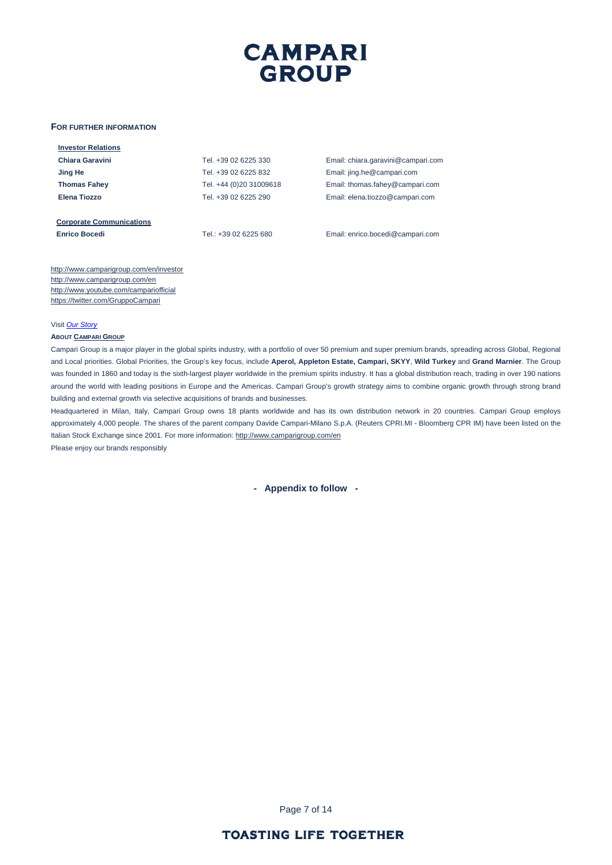#### **FOR FURTHER INFORMATION**

| <b>Investor Relations</b>       |                         |                                    |
|---------------------------------|-------------------------|------------------------------------|
| Chiara Garavini                 | Tel. +39 02 6225 330    | Email: chiara.garavini@campari.com |
| Jing He                         | Tel. +39 02 6225 832    | Email: jing.he@campari.com         |
| <b>Thomas Fahey</b>             | Tel. +44 (0)20 31009618 | Email: thomas.fahey@campari.com    |
| Elena Tiozzo                    | Tel. +39 02 6225 290    | Email: elena.tiozzo@campari.com    |
|                                 |                         |                                    |
| <b>Corporate Communications</b> |                         |                                    |
| <b>Enrico Bocedi</b>            | Tel 1+39 02 6225 680    | Email: enrico bocedi@campari.com   |

http://www.camparigroup.com/en/investor http://www.camparigroup.com/en <http://www.youtube.com/campariofficial> <https://twitter.com/GruppoCampari>

Visit *[Our Story](https://youtu.be/ilNVsU9Cigo)*

#### **ABOU[T CAMPARI GROUP](http://www.camparigroup.com/en/index.shtml)**

Campari Group is a major player in the global spirits industry, with a portfolio of over 50 premium and super premium brands, spreading across Global, Regional and Local priorities. Global Priorities, the Group's key focus, include **Aperol, Appleton Estate, Campari, SKYY**, **Wild Turkey** and **Grand Marnier**. The Group was founded in 1860 and today is the sixth-largest player worldwide in the premium spirits industry. It has a global distribution reach, trading in over 190 nations around the world with leading positions in Europe and the Americas. Campari Group's growth strategy aims to combine organic growth through strong brand building and external growth via selective acquisitions of brands and businesses.

Headquartered in Milan, Italy, Campari Group owns 18 plants worldwide and has its own distribution network in 20 countries. Campari Group employs approximately 4,000 people. The shares of the parent company Davide Campari-Milano S.p.A. (Reuters CPRI.MI - Bloomberg CPR IM) have been listed on the Italian Stock Exchange since 2001. For more information: http://www.camparigroup.com/en

Please enjoy our brands responsibly

**- Appendix to follow -**

Page 7 of 14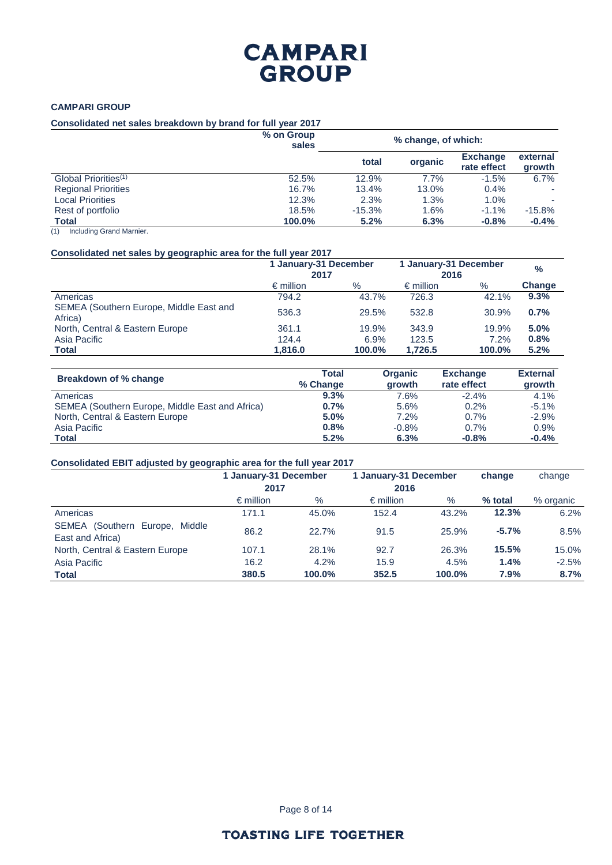## **CAMPARI GROUP**

### **Consolidated net sales breakdown by brand for full year 2017**

|                                  | % on Group<br>sales | % change, of which: |         |                                |                    |
|----------------------------------|---------------------|---------------------|---------|--------------------------------|--------------------|
|                                  |                     | total               | organic | <b>Exchange</b><br>rate effect | external<br>growth |
| Global Priorities <sup>(1)</sup> | 52.5%               | 12.9%               | 7.7%    | $-1.5%$                        | 6.7%               |
| <b>Regional Priorities</b>       | 16.7%               | 13.4%               | 13.0%   | 0.4%                           |                    |
| <b>Local Priorities</b>          | 12.3%               | 2.3%                | 1.3%    | 1.0%                           |                    |
| Rest of portfolio                | 18.5%               | $-15.3%$            | 1.6%    | $-1.1\%$                       | $-15.8%$           |
| <b>Total</b>                     | 100.0%              | 5.2%                | 6.3%    | $-0.8%$                        | $-0.4%$            |

(1) Including Grand Marnier.

## **Consolidated net sales by geographic area for the full year 2017**

|                                                    | 1 January-31 December<br>2017 |        | 1 January-31 December<br>2016 | $\frac{0}{0}$ |               |
|----------------------------------------------------|-------------------------------|--------|-------------------------------|---------------|---------------|
|                                                    | $\epsilon$ million            | $\%$   | $\epsilon$ million            | $\%$          | <b>Change</b> |
| Americas                                           | 794.2                         | 43.7%  | 726.3                         | 42.1%         | 9.3%          |
| SEMEA (Southern Europe, Middle East and<br>Africa) | 536.3                         | 29.5%  | 532.8                         | 30.9%         | 0.7%          |
| North, Central & Eastern Europe                    | 361.1                         | 19.9%  | 343.9                         | 19.9%         | 5.0%          |
| Asia Pacific                                       | 124.4                         | 6.9%   | 123.5                         | 7.2%          | 0.8%          |
| Total                                              | 1.816.0                       | 100.0% | 1,726.5                       | 100.0%        | 5.2%          |

| Breakdown of % change                           | Total<br>% Change | <b>Organic</b><br>growth | <b>Exchange</b><br>rate effect | <b>External</b><br>growth |
|-------------------------------------------------|-------------------|--------------------------|--------------------------------|---------------------------|
| Americas                                        | 9.3%              | 7.6%                     | $-2.4%$                        | 4.1%                      |
| SEMEA (Southern Europe, Middle East and Africa) | 0.7%              | 5.6%                     | 0.2%                           | $-5.1%$                   |
| North, Central & Eastern Europe                 | 5.0%              | 7.2%                     | 0.7%                           | $-2.9%$                   |
| Asia Pacific                                    | 0.8%              | $-0.8%$                  | 0.7%                           | 0.9%                      |
| <b>Total</b>                                    | 5.2%              | 6.3%                     | $-0.8%$                        | $-0.4%$                   |

### **Consolidated EBIT adjusted by geographic area for the full year 2017**

|                                                    | 1 January-31 December<br>2017 |        | 1 January-31 December<br>2016 |        | change  | change    |
|----------------------------------------------------|-------------------------------|--------|-------------------------------|--------|---------|-----------|
|                                                    | $\epsilon$ million            | $\%$   | $\epsilon$ million            | $\%$   | % total | % organic |
| Americas                                           | 171.1                         | 45.0%  | 152.4                         | 43.2%  | 12.3%   | 6.2%      |
| SEMEA (Southern Europe, Middle<br>East and Africa) | 86.2                          | 22.7%  | 91.5                          | 25.9%  | $-5.7%$ | 8.5%      |
| North, Central & Eastern Europe                    | 107.1                         | 28.1%  | 92.7                          | 26.3%  | 15.5%   | 15.0%     |
| Asia Pacific                                       | 16.2                          | 4.2%   | 15.9                          | 4.5%   | 1.4%    | $-2.5%$   |
| Total                                              | 380.5                         | 100.0% | 352.5                         | 100.0% | 7.9%    | 8.7%      |

Page 8 of 14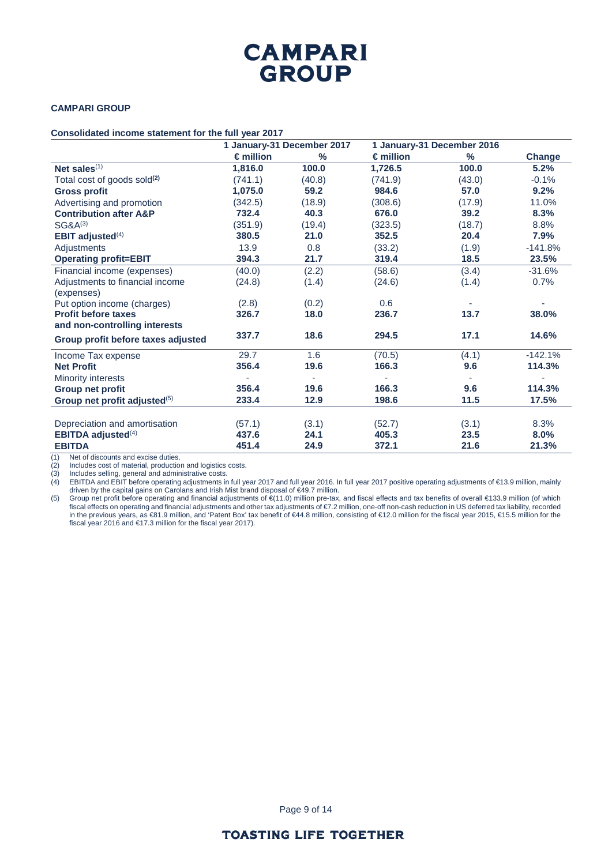### **CAMPARI GROUP**

#### **Consolidated income statement for the full year 2017**

|                                          |                    | 1 January-31 December 2017 |                    | 1 January-31 December 2016 |           |
|------------------------------------------|--------------------|----------------------------|--------------------|----------------------------|-----------|
|                                          | $\epsilon$ million | %                          | $\epsilon$ million | %                          | Change    |
| Net sales $(1)$                          | 1,816.0            | 100.0                      | 1,726.5            | 100.0                      | 5.2%      |
| Total cost of goods sold <sup>(2)</sup>  | (741.1)            | (40.8)                     | (741.9)            | (43.0)                     | $-0.1%$   |
| <b>Gross profit</b>                      | 1,075.0            | 59.2                       | 984.6              | 57.0                       | 9.2%      |
| Advertising and promotion                | (342.5)            | (18.9)                     | (308.6)            | (17.9)                     | 11.0%     |
| <b>Contribution after A&amp;P</b>        | 732.4              | 40.3                       | 676.0              | 39.2                       | 8.3%      |
| $SG&A^{(3)}$                             | (351.9)            | (19.4)                     | (323.5)            | (18.7)                     | 8.8%      |
| EBIT adjusted <sup>(4)</sup>             | 380.5              | 21.0                       | 352.5              | 20.4                       | 7.9%      |
| Adjustments                              | 13.9               | 0.8                        | (33.2)             | (1.9)                      | $-141.8%$ |
| <b>Operating profit=EBIT</b>             | 394.3              | 21.7                       | 319.4              | 18.5                       | 23.5%     |
| Financial income (expenses)              | (40.0)             | (2.2)                      | (58.6)             | (3.4)                      | $-31.6%$  |
| Adjustments to financial income          | (24.8)             | (1.4)                      | (24.6)             | (1.4)                      | 0.7%      |
| (expenses)                               |                    |                            |                    |                            |           |
| Put option income (charges)              | (2.8)              | (0.2)                      | 0.6                |                            |           |
| <b>Profit before taxes</b>               | 326.7              | 18.0                       | 236.7              | 13.7                       | 38.0%     |
| and non-controlling interests            |                    |                            |                    |                            |           |
| Group profit before taxes adjusted       | 337.7              | 18.6                       | 294.5              | 17.1                       | 14.6%     |
| Income Tax expense                       | 29.7               | 1.6                        | (70.5)             | (4.1)                      | $-142.1%$ |
| <b>Net Profit</b>                        | 356.4              | 19.6                       | 166.3              | 9.6                        | 114.3%    |
| Minority interests                       |                    |                            |                    |                            |           |
| Group net profit                         | 356.4              | 19.6                       | 166.3              | 9.6                        | 114.3%    |
| Group net profit adjusted <sup>(5)</sup> | 233.4              | 12.9                       | 198.6              | 11.5                       | 17.5%     |
|                                          |                    |                            |                    |                            |           |
| Depreciation and amortisation            | (57.1)             | (3.1)                      | (52.7)             | (3.1)                      | 8.3%      |
| <b>EBITDA adjusted</b> <sup>(4)</sup>    | 437.6              | 24.1                       | 405.3              | 23.5                       | 8.0%      |
| <b>EBITDA</b>                            | 451.4              | 24.9                       | 372.1              | 21.6                       | 21.3%     |

(1) Net of discounts and excise duties.<br>
(2) Includes cost of material, production<br>
(3) Includes selling, general and admin (2) Includes cost of material, production and logistics costs.

(3) Includes selling, general and administrative costs.

(4) EBITDA and EBIT before operating adjustments in full year 2017 and full year 2016. In full year 2017 positive operating adjustments of €13.9 million, mainly driven by the capital gains on Carolans and Irish Mist brand disposal of €49.7 million.

(5) Group net profit before operating and financial adjustments of €(11.0) million pre-tax, and fiscal effects and tax benefits of overall €133.9 million (of which fiscal effects on operating and financial adjustments and other tax adjustments of €7.2 million, one-off non-cash reduction in US deferred tax liability, recorded in the previous years, as €81.9 million, and 'Patent Box' tax benefit of €44.8 million, consisting of €12.0 million for the fiscal year 2015, €15.5 million for the fiscal year 2016 and €17.3 million for the fiscal year 2017).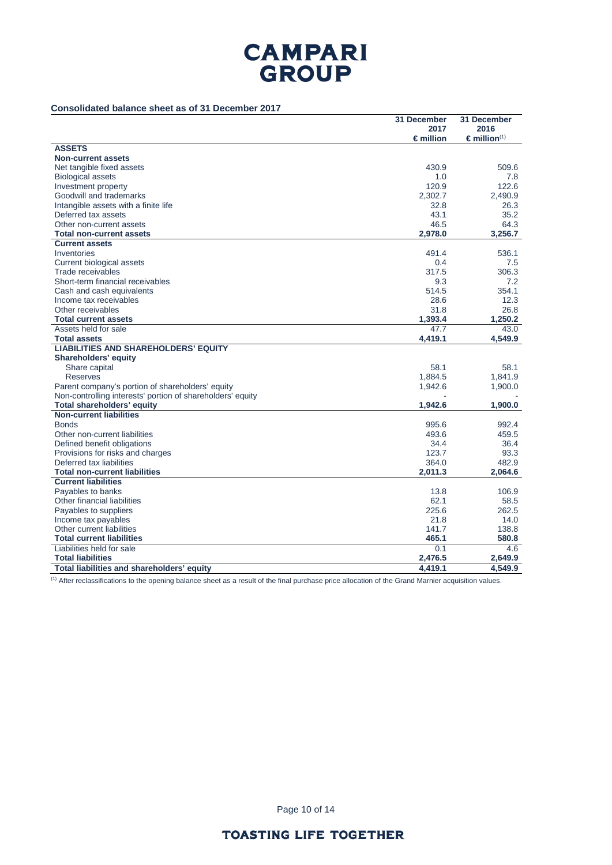### **Consolidated balance sheet as of 31 December 2017**

|                                                            | 31 December                | 31 December                               |
|------------------------------------------------------------|----------------------------|-------------------------------------------|
|                                                            | 2017<br>$\epsilon$ million | 2016<br>$\epsilon$ million <sup>(1)</sup> |
| <b>ASSETS</b>                                              |                            |                                           |
| <b>Non-current assets</b>                                  |                            |                                           |
| Net tangible fixed assets                                  | 430.9                      | 509.6                                     |
| <b>Biological assets</b>                                   | 1.0                        | 7.8                                       |
| Investment property                                        | 120.9                      | 122.6                                     |
| Goodwill and trademarks                                    | 2,302.7                    | 2,490.9                                   |
| Intangible assets with a finite life                       | 32.8                       | 26.3                                      |
| Deferred tax assets                                        | 43.1                       | 35.2                                      |
| Other non-current assets                                   | 46.5                       | 64.3                                      |
| <b>Total non-current assets</b>                            | 2,978.0                    | 3.256.7                                   |
| <b>Current assets</b>                                      |                            |                                           |
| Inventories                                                | 491.4                      | 536.1                                     |
| Current biological assets                                  | 0.4                        | 7.5                                       |
| Trade receivables                                          | 317.5                      | 306.3                                     |
| Short-term financial receivables                           | 9.3                        | 7.2                                       |
| Cash and cash equivalents                                  | 514.5                      | 354.1                                     |
| Income tax receivables                                     | 28.6                       | 12.3                                      |
| Other receivables                                          | 31.8                       | 26.8                                      |
| <b>Total current assets</b>                                | 1,393.4                    | 1.250.2                                   |
| Assets held for sale                                       | 47.7                       | 43.0                                      |
| <b>Total assets</b>                                        | 4,419.1                    | 4,549.9                                   |
| <b>LIABILITIES AND SHAREHOLDERS' EQUITY</b>                |                            |                                           |
| Shareholders' equity                                       | 58.1                       | 58.1                                      |
| Share capital<br><b>Reserves</b>                           | 1,884.5                    | 1,841.9                                   |
| Parent company's portion of shareholders' equity           | 1,942.6                    | 1,900.0                                   |
| Non-controlling interests' portion of shareholders' equity |                            |                                           |
| Total shareholders' equity                                 | 1,942.6                    | 1,900.0                                   |
| <b>Non-current liabilities</b>                             |                            |                                           |
| <b>Bonds</b>                                               | 995.6                      | 992.4                                     |
| Other non-current liabilities                              | 493.6                      | 459.5                                     |
| Defined benefit obligations                                | 34.4                       | 36.4                                      |
| Provisions for risks and charges                           | 123.7                      | 93.3                                      |
| Deferred tax liabilities                                   | 364.0                      | 482.9                                     |
| <b>Total non-current liabilities</b>                       | 2,011.3                    | 2,064.6                                   |
| <b>Current liabilities</b>                                 |                            |                                           |
| Payables to banks                                          | 13.8                       | 106.9                                     |
| Other financial liabilities                                | 62.1                       | 58.5                                      |
| Payables to suppliers                                      | 225.6                      | 262.5                                     |
| Income tax payables                                        | 21.8                       | 14.0                                      |
| Other current liabilities                                  | 141.7                      | 138.8                                     |
| <b>Total current liabilities</b>                           | 465.1                      | 580.8                                     |
| Liabilities held for sale                                  | 0.1                        | 4.6                                       |
| <b>Total liabilities</b>                                   | 2,476.5                    | 2,649.9                                   |
| Total liabilities and shareholders' equity                 | 4,419.1                    | 4,549.9                                   |

<sup>(1)</sup> After reclassifications to the opening balance sheet as a result of the final purchase price allocation of the Grand Marnier acquisition values.

Page 10 of 14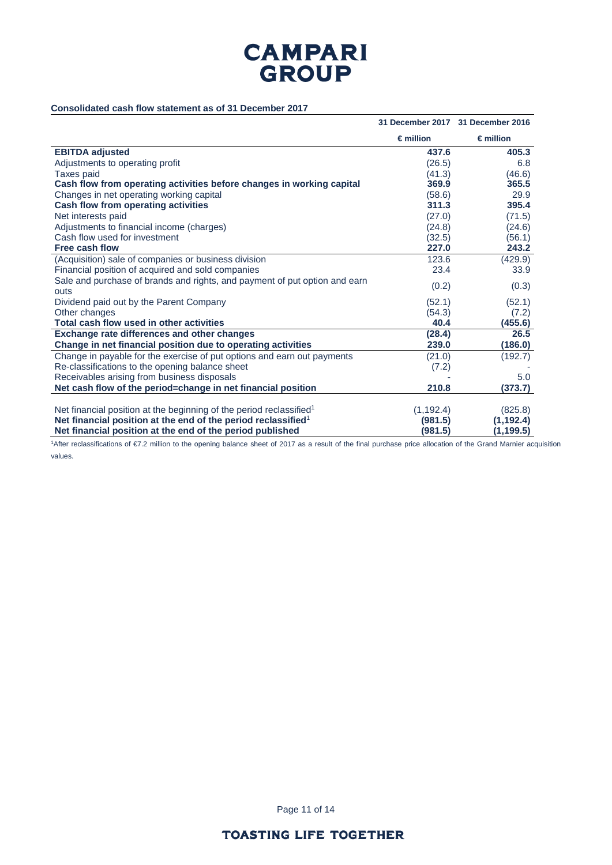### **Consolidated cash flow statement as of 31 December 2017**

|                                                                                 |                    | 31 December 2017 31 December 2016 |
|---------------------------------------------------------------------------------|--------------------|-----------------------------------|
|                                                                                 | $\epsilon$ million | $\epsilon$ million                |
| <b>EBITDA adjusted</b>                                                          | 437.6              | 405.3                             |
| Adjustments to operating profit                                                 | (26.5)             | 6.8                               |
| <b>Taxes paid</b>                                                               | (41.3)             | (46.6)                            |
| Cash flow from operating activities before changes in working capital           | 369.9              | 365.5                             |
| Changes in net operating working capital                                        | (58.6)             | 29.9                              |
| Cash flow from operating activities                                             | 311.3              | 395.4                             |
| Net interests paid                                                              | (27.0)             | (71.5)                            |
| Adjustments to financial income (charges)                                       | (24.8)             | (24.6)                            |
| Cash flow used for investment                                                   | (32.5)             | (56.1)                            |
| Free cash flow                                                                  | 227.0              | 243.2                             |
| (Acquisition) sale of companies or business division                            | 123.6              | (429.9)                           |
| Financial position of acquired and sold companies                               | 23.4               | 33.9                              |
| Sale and purchase of brands and rights, and payment of put option and earn      | (0.2)              | (0.3)                             |
| outs<br>Dividend paid out by the Parent Company                                 | (52.1)             | (52.1)                            |
| Other changes                                                                   | (54.3)             |                                   |
| Total cash flow used in other activities                                        | 40.4               | (7.2)<br>(455.6)                  |
| Exchange rate differences and other changes                                     | (28.4)             | 26.5                              |
| Change in net financial position due to operating activities                    | 239.0              | (186.0)                           |
| Change in payable for the exercise of put options and earn out payments         | (21.0)             | (192.7)                           |
| Re-classifications to the opening balance sheet                                 | (7.2)              |                                   |
| Receivables arising from business disposals                                     |                    | 5.0                               |
| Net cash flow of the period=change in net financial position                    | 210.8              | (373.7)                           |
|                                                                                 |                    |                                   |
| Net financial position at the beginning of the period reclassified <sup>1</sup> | (1, 192.4)         | (825.8)                           |
| Net financial position at the end of the period reclassified <sup>1</sup>       | (981.5)            | (1, 192.4)                        |
| Net financial position at the end of the period published                       | (981.5)            | (1, 199.5)                        |

1After reclassifications of €7.2 million to the opening balance sheet of 2017 as a result of the final purchase price allocation of the Grand Marnier acquisition values.

Page 11 of 14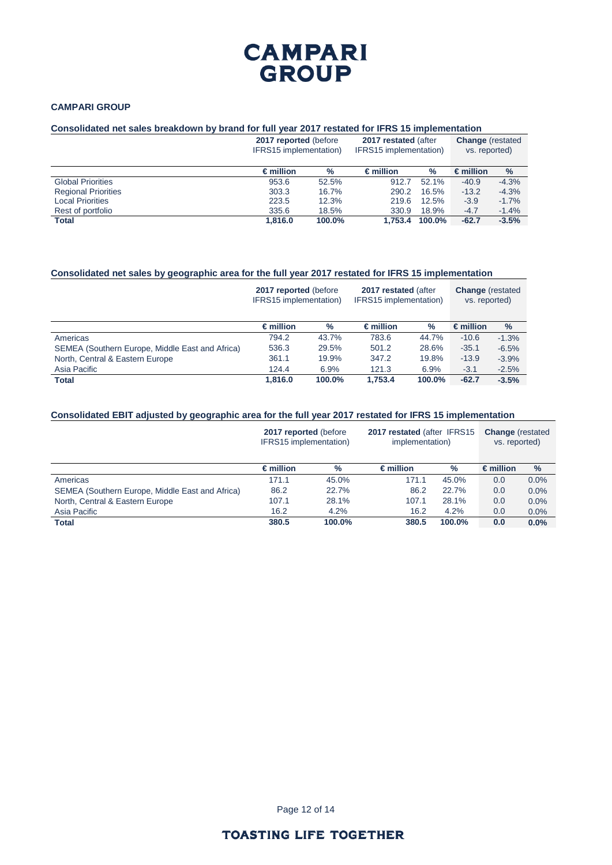### **CAMPARI GROUP**

### **Consolidated net sales breakdown by brand for full year 2017 restated for IFRS 15 implementation**

|                            | 2017 reported (before)<br>IFRS15 implementation) |        | 2017 restated (after<br>IFRS15 implementation) | <b>Change</b> (restated<br>vs. reported) |                    |         |
|----------------------------|--------------------------------------------------|--------|------------------------------------------------|------------------------------------------|--------------------|---------|
|                            | $\epsilon$ million                               | %      | $\epsilon$ million                             | %                                        | $\epsilon$ million | $\%$    |
| <b>Global Priorities</b>   | 953.6                                            | 52.5%  | 912.7                                          | 52.1%                                    | $-40.9$            | $-4.3%$ |
| <b>Regional Priorities</b> | 303.3                                            | 16.7%  | 290.2                                          | 16.5%                                    | $-13.2$            | $-4.3%$ |
| <b>Local Priorities</b>    | 223.5                                            | 12.3%  | 219.6                                          | 12.5%                                    | $-3.9$             | $-1.7%$ |
| Rest of portfolio          | 335.6                                            | 18.5%  | 330.9                                          | 18.9%                                    | $-4.7$             | $-1.4%$ |
| <b>Total</b>               | 1.816.0                                          | 100.0% | 1.753.4                                        | 100.0%                                   | $-62.7$            | $-3.5%$ |

### **Consolidated net sales by geographic area for the full year 2017 restated for IFRS 15 implementation**

|                                                 | 2017 reported (before)<br>IFRS15 implementation) |        | 2017 restated (after<br>IFRS15 implementation) | <b>Change</b> (restated<br>vs. reported) |                    |               |
|-------------------------------------------------|--------------------------------------------------|--------|------------------------------------------------|------------------------------------------|--------------------|---------------|
|                                                 | $\epsilon$ million                               | $\%$   | $\epsilon$ million                             | $\%$                                     | $\epsilon$ million | $\frac{9}{6}$ |
| Americas                                        | 794.2                                            | 43.7%  | 783.6                                          | 44.7%                                    | $-10.6$            | $-1.3%$       |
| SEMEA (Southern Europe, Middle East and Africa) | 536.3                                            | 29.5%  | 501.2                                          | 28.6%                                    | $-35.1$            | $-6.5%$       |
| North, Central & Eastern Europe                 | 361.1                                            | 19.9%  | 347.2                                          | 19.8%                                    | $-13.9$            | $-3.9%$       |
| Asia Pacific                                    | 124.4                                            | 6.9%   | 121.3                                          | 6.9%                                     | $-3.1$             | $-2.5%$       |
| <b>Total</b>                                    | 1.816.0                                          | 100.0% | 1.753.4                                        | 100.0%                                   | $-62.7$            | $-3.5%$       |

### **Consolidated EBIT adjusted by geographic area for the full year 2017 restated for IFRS 15 implementation**

|                                                 | 2017 reported (before)<br>IFRS15 implementation) |        | 2017 restated (after IFRS15<br>implementation) | <b>Change</b> (restated<br>vs. reported) |                    |      |
|-------------------------------------------------|--------------------------------------------------|--------|------------------------------------------------|------------------------------------------|--------------------|------|
|                                                 | $\epsilon$ million                               | %      | $\epsilon$ million                             | $\%$                                     | $\epsilon$ million | $\%$ |
| Americas                                        | 171.1                                            | 45.0%  | 171.1                                          | 45.0%                                    | 0.0                | 0.0% |
| SEMEA (Southern Europe, Middle East and Africa) | 86.2                                             | 22.7%  | 86.2                                           | 22.7%                                    | 0.0                | 0.0% |
| North, Central & Eastern Europe                 | 107.1                                            | 28.1%  | 107.1                                          | 28.1%                                    | 0.0                | 0.0% |
| Asia Pacific                                    | 16.2                                             | 4.2%   | 16.2                                           | 4.2%                                     | 0.0                | 0.0% |
| <b>Total</b>                                    | 380.5                                            | 100.0% | 380.5                                          | $100.0\%$                                | 0.0                | 0.0% |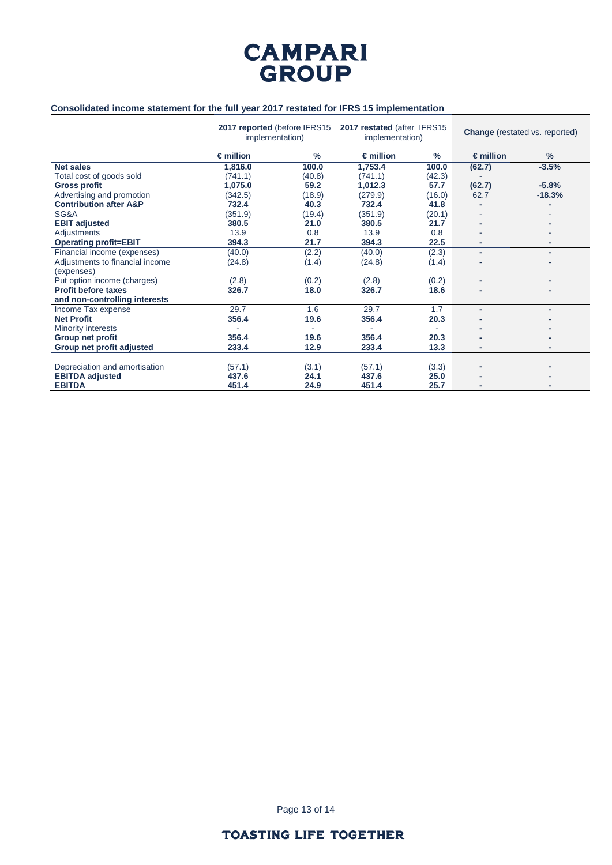

## **Consolidated income statement for the full year 2017 restated for IFRS 15 implementation**

|                                   | 2017 reported (before IFRS15<br>implementation) |               | 2017 restated (after IFRS15<br>implementation) |        | <b>Change</b> (restated vs. reported) |          |
|-----------------------------------|-------------------------------------------------|---------------|------------------------------------------------|--------|---------------------------------------|----------|
|                                   | $\epsilon$ million                              | $\frac{9}{6}$ | $\epsilon$ million                             | $\%$   | $\epsilon$ million                    | $\%$     |
| <b>Net sales</b>                  | 1,816.0                                         | 100.0         | 1,753.4                                        | 100.0  | (62.7)                                | $-3.5%$  |
| Total cost of goods sold          | (741.1)                                         | (40.8)        | (741.1)                                        | (42.3) |                                       |          |
| <b>Gross profit</b>               | 1,075.0                                         | 59.2          | 1,012.3                                        | 57.7   | (62.7)                                | $-5.8%$  |
| Advertising and promotion         | (342.5)                                         | (18.9)        | (279.9)                                        | (16.0) | 62.7                                  | $-18.3%$ |
| <b>Contribution after A&amp;P</b> | 732.4                                           | 40.3          | 732.4                                          | 41.8   |                                       |          |
| SG&A                              | (351.9)                                         | (19.4)        | (351.9)                                        | (20.1) |                                       |          |
| <b>EBIT adjusted</b>              | 380.5                                           | 21.0          | 380.5                                          | 21.7   |                                       |          |
| Adjustments                       | 13.9                                            | 0.8           | 13.9                                           | 0.8    |                                       |          |
| <b>Operating profit=EBIT</b>      | 394.3                                           | 21.7          | 394.3                                          | 22.5   | ٠                                     | ٠        |
| Financial income (expenses)       | (40.0)                                          | (2.2)         | (40.0)                                         | (2.3)  | ۰                                     | ٠        |
| Adjustments to financial income   | (24.8)                                          | (1.4)         | (24.8)                                         | (1.4)  |                                       |          |
| (expenses)                        |                                                 |               |                                                |        |                                       |          |
| Put option income (charges)       | (2.8)                                           | (0.2)         | (2.8)                                          | (0.2)  |                                       |          |
| <b>Profit before taxes</b>        | 326.7                                           | 18.0          | 326.7                                          | 18.6   |                                       |          |
| and non-controlling interests     |                                                 |               |                                                |        |                                       |          |
| Income Tax expense                | 29.7                                            | 1.6           | 29.7                                           | 1.7    | ۰                                     | ۰        |
| <b>Net Profit</b>                 | 356.4                                           | 19.6          | 356.4                                          | 20.3   |                                       |          |
| Minority interests                |                                                 |               |                                                |        |                                       |          |
| <b>Group net profit</b>           | 356.4                                           | 19.6          | 356.4                                          | 20.3   |                                       |          |
| Group net profit adjusted         | 233.4                                           | 12.9          | 233.4                                          | 13.3   | ۰                                     |          |
|                                   |                                                 |               |                                                |        |                                       |          |
| Depreciation and amortisation     | (57.1)                                          | (3.1)         | (57.1)                                         | (3.3)  |                                       |          |
| <b>EBITDA adjusted</b>            | 437.6                                           | 24.1          | 437.6                                          | 25.0   |                                       |          |
| <b>EBITDA</b>                     | 451.4                                           | 24.9          | 451.4                                          | 25.7   |                                       |          |

Page 13 of 14